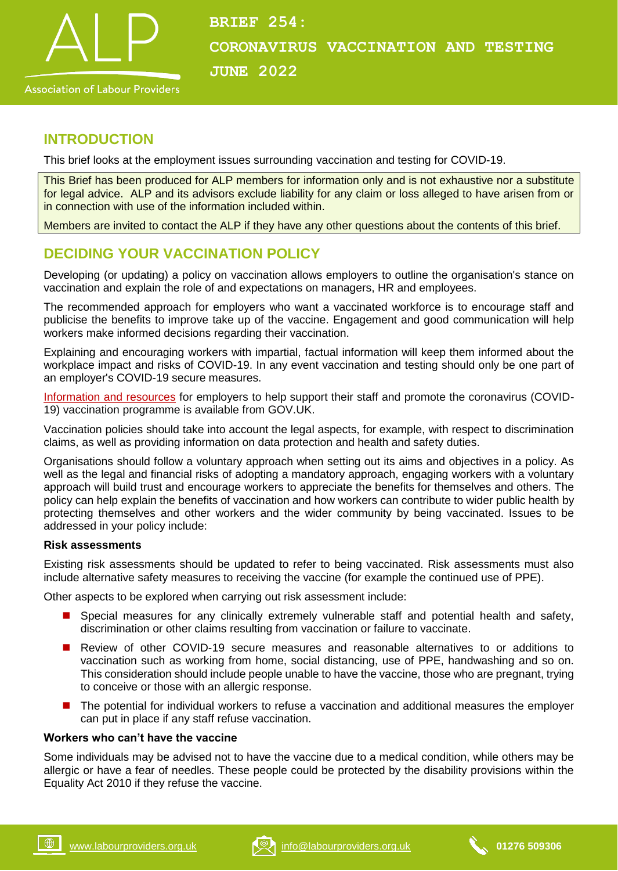

# **INTRODUCTION**

This brief looks at the employment issues surrounding vaccination and testing for COVID-19.

This Brief has been produced for ALP members for information only and is not exhaustive nor a substitute for legal advice. ALP and its advisors exclude liability for any claim or loss alleged to have arisen from or in connection with use of the information included within.

Members are invited to contact the ALP if they have any other questions about the contents of this brief.

# **DECIDING YOUR VACCINATION POLICY**

Developing (or updating) a policy on vaccination allows employers to outline the organisation's stance on vaccination and explain the role of and expectations on managers, HR and employees.

The recommended approach for employers who want a vaccinated workforce is to encourage staff and publicise the benefits to improve take up of the vaccine. Engagement and good communication will help workers make informed decisions regarding their vaccination.

Explaining and encouraging workers with impartial, factual information will keep them informed about the workplace impact and risks of COVID-19. In any event vaccination and testing should only be one part of an employer's COVID-19 secure measures.

[Information and resources](https://www.gov.uk/government/publications/covid-19-vaccination-guide-for-employers/covid-19-vaccination-guide-for-employers) for employers to help support their staff and promote the coronavirus (COVID-19) vaccination programme is available from GOV.UK.

Vaccination policies should take into account the legal aspects, for example, with respect to discrimination claims, as well as providing information on data protection and health and safety duties.

Organisations should follow a voluntary approach when setting out its aims and objectives in a policy. As well as the legal and financial risks of adopting a mandatory approach, engaging workers with a voluntary approach will build trust and encourage workers to appreciate the benefits for themselves and others. The policy can help explain the benefits of vaccination and how workers can contribute to wider public health by protecting themselves and other workers and the wider community by being vaccinated. Issues to be addressed in your policy include:

#### **Risk assessments**

Existing risk assessments should be updated to refer to being vaccinated. Risk assessments must also include alternative safety measures to receiving the vaccine (for example the continued use of PPE).

Other aspects to be explored when carrying out risk assessment include:

- **B** Special measures for any clinically extremely vulnerable staff and potential health and safety, discrimination or other claims resulting from vaccination or failure to vaccinate.
- Review of other COVID-19 secure measures and reasonable alternatives to or additions to vaccination such as working from home, social distancing, use of PPE, handwashing and so on. This consideration should include people unable to have the vaccine, those who are pregnant, trying to conceive or those with an allergic response.
- The potential for individual workers to refuse a vaccination and additional measures the employer can put in place if any staff refuse vaccination.

#### **Workers who can't have the vaccine**

Some individuals may be advised not to have the vaccine due to a medical condition, while others may be allergic or have a fear of needles. These people could be protected by the disability provisions within the Equality Act 2010 if they refuse the vaccine.

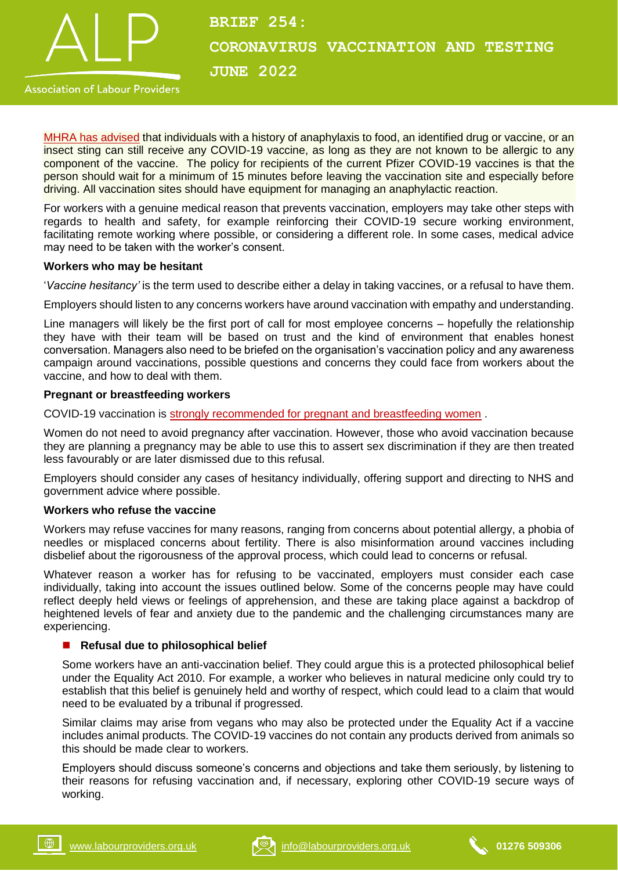

# **BRIEF 254: CORONAVIRUS VACCINATION AND TESTING JUNE 2022**

**Association of Labour Providers** 

[MHRA has advised](https://assets.publishing.service.gov.uk/government/uploads/system/uploads/attachment_data/file/951155/COVID-19_vaccination_programme_guidance_for_healthcare_workers_11_January_2021_V3.1.pdf) that individuals with a history of anaphylaxis to food, an identified drug or vaccine, or an insect sting can still receive any COVID-19 vaccine, as long as they are not known to be allergic to any component of the vaccine. The policy for recipients of the current Pfizer COVID-19 vaccines is that the person should wait for a minimum of 15 minutes before leaving the vaccination site and especially before driving. All vaccination sites should have equipment for managing an anaphylactic reaction.

For workers with a genuine medical reason that prevents vaccination, employers may take other steps with regards to health and safety, for example reinforcing their COVID-19 secure working environment, facilitating remote working where possible, or considering a different role. In some cases, medical advice may need to be taken with the worker's consent.

#### **Workers who may be hesitant**

'*Vaccine hesitancy'* is the term used to describe either a delay in taking vaccines, or a refusal to have them.

Employers should listen to any concerns workers have around vaccination with empathy and understanding.

Line managers will likely be the first port of call for most employee concerns – hopefully the relationship they have with their team will be based on trust and the kind of environment that enables honest conversation. Managers also need to be briefed on the organisation's vaccination policy and any awareness campaign around vaccinations, possible questions and concerns they could face from workers about the vaccine, and how to deal with them.

#### **Pregnant or breastfeeding workers**

COVID-19 vaccination is [strongly recommended for pregnant and breastfeeding women](https://www.gov.uk/government/publications/covid-19-vaccination-women-of-childbearing-age-currently-pregnant-planning-a-pregnancy-or-breastfeeding/covid-19-vaccination-a-guide-for-women-of-childbearing-age-pregnant-planning-a-pregnancy-or-breastfeeding) .

Women do not need to avoid pregnancy after vaccination. However, those who avoid vaccination because they are planning a pregnancy may be able to use this to assert sex discrimination if they are then treated less favourably or are later dismissed due to this refusal.

Employers should consider any cases of hesitancy individually, offering support and directing to NHS and government advice where possible.

#### **Workers who refuse the vaccine**

Workers may refuse vaccines for many reasons, ranging from concerns about potential allergy, a phobia of needles or misplaced concerns about fertility. There is also misinformation around vaccines including disbelief about the rigorousness of the approval process, which could lead to concerns or refusal.

Whatever reason a worker has for refusing to be vaccinated, employers must consider each case individually, taking into account the issues outlined below. Some of the concerns people may have could reflect deeply held views or feelings of apprehension, and these are taking place against a backdrop of heightened levels of fear and anxiety due to the pandemic and the challenging circumstances many are experiencing.

### ■ Refusal due to philosophical belief

Some workers have an anti-vaccination belief. They could argue this is a protected philosophical belief under the Equality Act 2010. For example, a worker who believes in natural medicine only could try to establish that this belief is genuinely held and worthy of respect, which could lead to a claim that would need to be evaluated by a tribunal if progressed.

Similar claims may arise from vegans who may also be protected under the Equality Act if a vaccine includes animal products. The COVID-19 vaccines do not contain any products derived from animals so this should be made clear to workers.

Employers should discuss someone's concerns and objections and take them seriously, by listening to their reasons for refusing vaccination and, if necessary, exploring other COVID-19 secure ways of working.



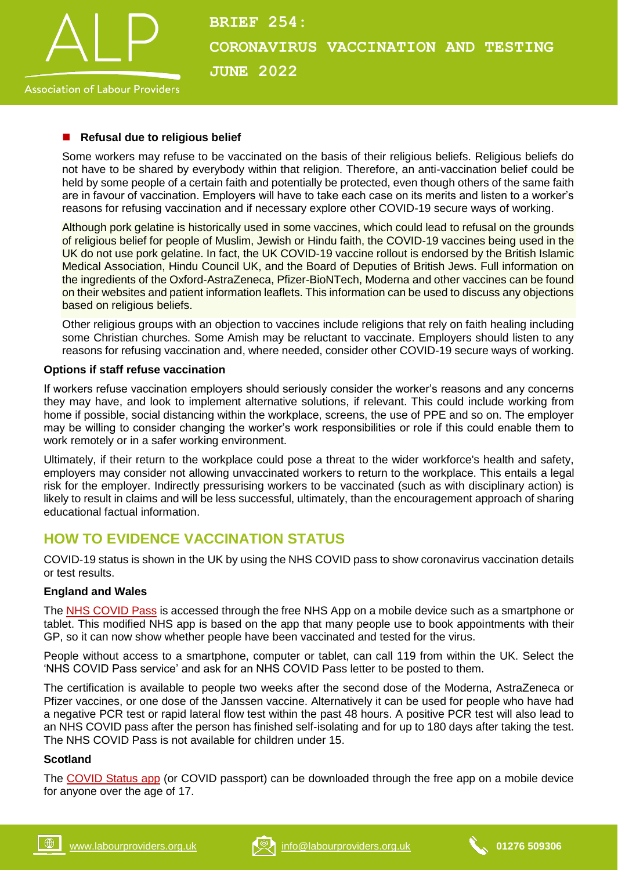

#### **Association of Labour Providers**

#### **Refusal due to religious belief**

Some workers may refuse to be vaccinated on the basis of their religious beliefs. Religious beliefs do not have to be shared by everybody within that religion. Therefore, an anti-vaccination belief could be held by some people of a certain faith and potentially be protected, even though others of the same faith are in favour of vaccination. Employers will have to take each case on its merits and listen to a worker's reasons for refusing vaccination and if necessary explore other COVID-19 secure ways of working.

Although pork gelatine is historically used in some vaccines, which could lead to refusal on the grounds of religious belief for people of Muslim, Jewish or Hindu faith, the COVID-19 vaccines being used in the UK do not use pork gelatine. In fact, the UK COVID-19 vaccine rollout is endorsed by the British Islamic Medical Association, Hindu Council UK, and the Board of Deputies of British Jews. Full information on the ingredients of the Oxford-AstraZeneca, Pfizer-BioNTech, Moderna and other vaccines can be found on their websites and patient information leaflets. This information can be used to discuss any objections based on religious beliefs.

Other religious groups with an objection to vaccines include religions that rely on faith healing including some Christian churches. Some Amish may be reluctant to vaccinate. Employers should listen to any reasons for refusing vaccination and, where needed, consider other COVID-19 secure ways of working.

#### **Options if staff refuse vaccination**

If workers refuse vaccination employers should seriously consider the worker's reasons and any concerns they may have, and look to implement alternative solutions, if relevant. This could include working from home if possible, social distancing within the workplace, screens, the use of PPE and so on. The employer may be willing to consider changing the worker's work responsibilities or role if this could enable them to work remotely or in a safer working environment.

Ultimately, if their return to the workplace could pose a threat to the wider workforce's health and safety, employers may consider not allowing unvaccinated workers to return to the workplace. This entails a legal risk for the employer. Indirectly pressurising workers to be vaccinated (such as with disciplinary action) is likely to result in claims and will be less successful, ultimately, than the encouragement approach of sharing educational factual information.

## **HOW TO EVIDENCE VACCINATION STATUS**

COVID-19 status is shown in the UK by using the NHS COVID pass to show coronavirus vaccination details or test results.

#### **England and Wales**

The [NHS COVID Pass](https://www.nhs.uk/conditions/coronavirus-covid-19/covid-pass/) is accessed through the free NHS App on a mobile device such as a smartphone or tablet. This modified NHS app is based on the app that many people use to book appointments with their GP, so it can now show whether people have been vaccinated and tested for the virus.

People without access to a smartphone, computer or tablet, can call 119 from within the UK. Select the 'NHS COVID Pass service' and ask for an NHS COVID Pass letter to be posted to them.

The certification is available to people two weeks after the second dose of the Moderna, AstraZeneca or Pfizer vaccines, or one dose of the Janssen vaccine. Alternatively it can be used for people who have had a negative PCR test or rapid lateral flow test within the past 48 hours. A positive PCR test will also lead to an NHS COVID pass after the person has finished self-isolating and for up to 180 days after taking the test. The NHS COVID Pass is not available for children under 15.

#### **Scotland**

The [COVID Status app](https://www.nhsinform.scot/nhs-scotland-covid-status) (or COVID passport) can be downloaded through the free app on a mobile device for anyone over the age of 17.

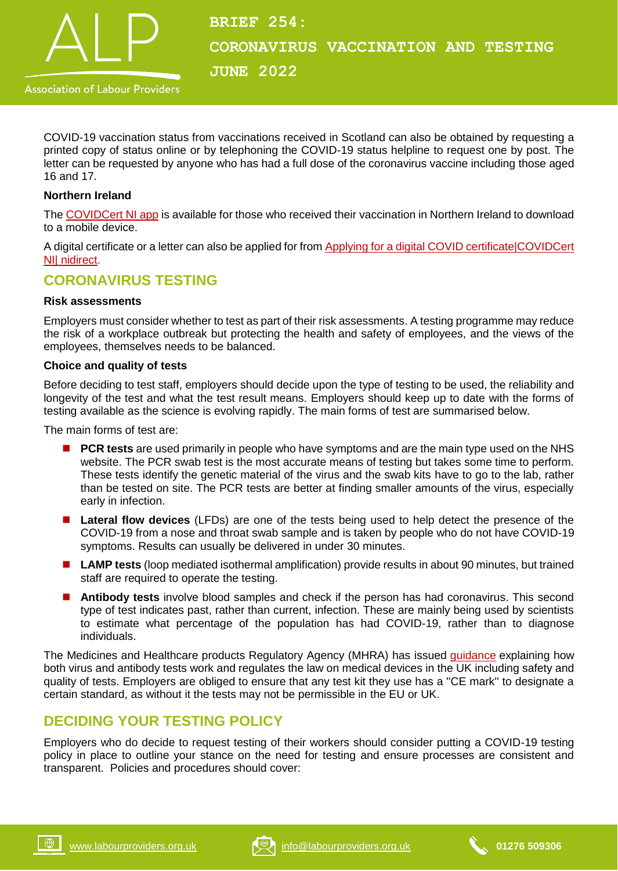

COVID-19 vaccination status from vaccinations received in Scotland can also be obtained by requesting a printed copy of status online or by telephoning the COVID-19 status helpline to request one by post. The letter can be requested by anyone who has had a full dose of the coronavirus vaccine including those aged 16 and 17.

#### **Northern Ireland**

The [COVIDCert NI app](https://www.nidirect.gov.uk/services/apply-domestic-covid-vaccination-certificate) is available for those who received their vaccination in Northern Ireland to download to a mobile device.

A digital certificate or a letter can also be applied for from [Applying for a digital COVID certificate|COVIDCert](https://covidcertni.nidirect.gov.uk/Customer/Home/Landing)  [NI| nidirect.](https://covidcertni.nidirect.gov.uk/Customer/Home/Landing)

# **CORONAVIRUS TESTING**

#### **Risk assessments**

Employers must consider whether to test as part of their risk assessments. A testing programme may reduce the risk of a workplace outbreak but protecting the health and safety of employees, and the views of the employees, themselves needs to be balanced.

#### **Choice and quality of tests**

Before deciding to test staff, employers should decide upon the type of testing to be used, the reliability and longevity of the test and what the test result means. Employers should keep up to date with the forms of testing available as the science is evolving rapidly. The main forms of test are summarised below.

The main forms of test are:

- **PCR tests** are used primarily in people who have symptoms and are the main type used on the NHS website. The PCR swab test is the most accurate means of testing but takes some time to perform. These tests identify the genetic material of the virus and the swab kits have to go to the lab, rather than be tested on site. The PCR tests are better at finding smaller amounts of the virus, especially early in infection.
- **Lateral flow devices** (LFDs) are one of the tests being used to help detect the presence of the COVID-19 from a nose and throat swab sample and is taken by people who do not have COVID-19 symptoms. Results can usually be delivered in under 30 minutes.
- LAMP tests (loop mediated isothermal amplification) provide results in about 90 minutes, but trained staff are required to operate the testing.
- **Antibody tests** involve blood samples and check if the person has had coronavirus. This second type of test indicates past, rather than current, infection. These are mainly being used by scientists to estimate what percentage of the population has had COVID-19, rather than to diagnose individuals.

The Medicines and Healthcare products Regulatory Agency (MHRA) has issued [guidance](https://www.gov.uk/government/publications/how-tests-and-testing-kits-for-coronavirus-covid-19-work/for-patients-the-public-and-professional-users-a-guide-to-covid-19-tests-and-testing-kits) explaining how both virus and antibody tests work and regulates the law on medical devices in the UK including safety and quality of tests. Employers are obliged to ensure that any test kit they use has a ''CE mark'' to designate a certain standard, as without it the tests may not be permissible in the EU or UK.

# **DECIDING YOUR TESTING POLICY**

Employers who do decide to request testing of their workers should consider putting a COVID-19 testing policy in place to outline your stance on the need for testing and ensure processes are consistent and transparent. Policies and procedures should cover:

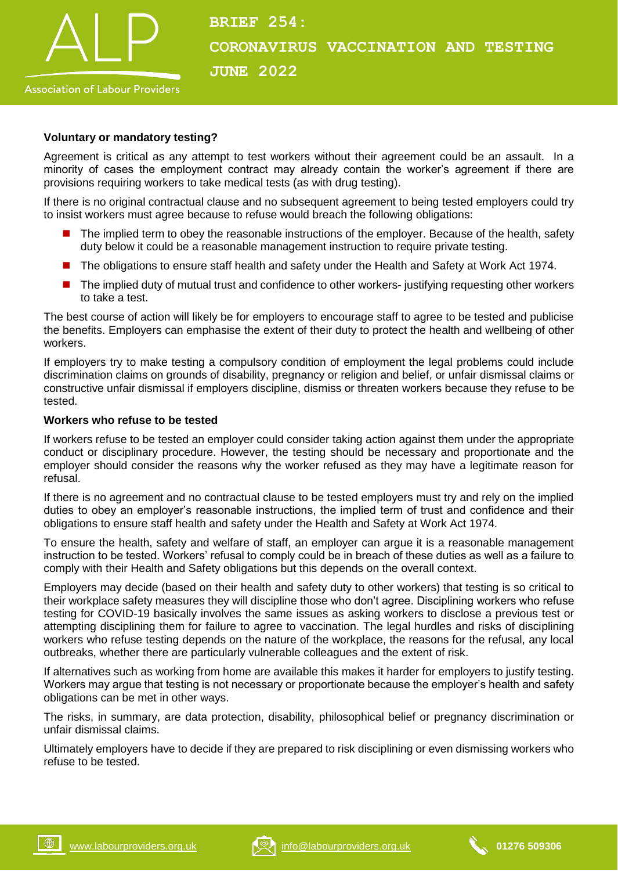

# **BRIEF 254: CORONAVIRUS VACCINATION AND TESTING JUNE 2022**

#### **Voluntary or mandatory testing?**

Agreement is critical as any attempt to test workers without their agreement could be an assault. In a minority of cases the employment contract may already contain the worker's agreement if there are provisions requiring workers to take medical tests (as with drug testing).

If there is no original contractual clause and no subsequent agreement to being tested employers could try to insist workers must agree because to refuse would breach the following obligations:

- The implied term to obey the reasonable instructions of the employer. Because of the health, safety duty below it could be a reasonable management instruction to require private testing.
- The obligations to ensure staff health and safety under the Health and Safety at Work Act 1974.
- The implied duty of mutual trust and confidence to other workers- justifying requesting other workers to take a test.

The best course of action will likely be for employers to encourage staff to agree to be tested and publicise the benefits. Employers can emphasise the extent of their duty to protect the health and wellbeing of other workers.

If employers try to make testing a compulsory condition of employment the legal problems could include discrimination claims on grounds of disability, pregnancy or religion and belief, or unfair dismissal claims or constructive unfair dismissal if employers discipline, dismiss or threaten workers because they refuse to be tested.

#### **Workers who refuse to be tested**

If workers refuse to be tested an employer could consider taking action against them under the appropriate conduct or disciplinary procedure. However, the testing should be necessary and proportionate and the employer should consider the reasons why the worker refused as they may have a legitimate reason for refusal.

If there is no agreement and no contractual clause to be tested employers must try and rely on the implied duties to obey an employer's reasonable instructions, the implied term of trust and confidence and their obligations to ensure staff health and safety under the Health and Safety at Work Act 1974.

To ensure the health, safety and welfare of staff, an employer can argue it is a reasonable management instruction to be tested. Workers' refusal to comply could be in breach of these duties as well as a failure to comply with their Health and Safety obligations but this depends on the overall context.

Employers may decide (based on their health and safety duty to other workers) that testing is so critical to their workplace safety measures they will discipline those who don't agree. Disciplining workers who refuse testing for COVID-19 basically involves the same issues as asking workers to disclose a previous test or attempting disciplining them for failure to agree to vaccination. The legal hurdles and risks of disciplining workers who refuse testing depends on the nature of the workplace, the reasons for the refusal, any local outbreaks, whether there are particularly vulnerable colleagues and the extent of risk.

If alternatives such as working from home are available this makes it harder for employers to justify testing. Workers may argue that testing is not necessary or proportionate because the employer's health and safety obligations can be met in other ways.

The risks, in summary, are data protection, disability, philosophical belief or pregnancy discrimination or unfair dismissal claims.

Ultimately employers have to decide if they are prepared to risk disciplining or even dismissing workers who refuse to be tested.